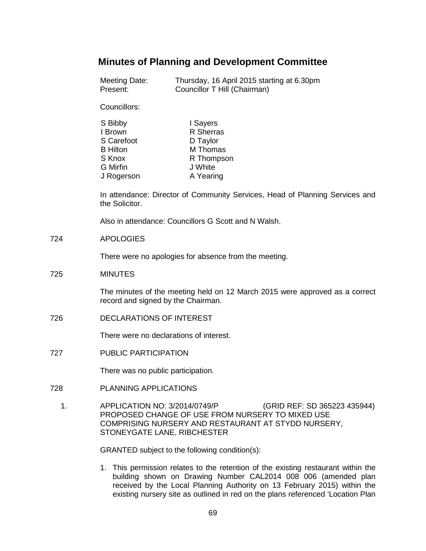# **Minutes of Planning and Development Committee**

| Meeting Date: | Thursday, 16 April 2015 starting at 6.30pm |
|---------------|--------------------------------------------|
| Present:      | Councillor T Hill (Chairman)               |

Councillors:

| S Bibby         | I Sayers   |
|-----------------|------------|
| I Brown         | R Sherras  |
| S Carefoot      | D Taylor   |
| <b>B</b> Hilton | M Thomas   |
| S Knox          | R Thompson |
| <b>G</b> Mirfin | J White    |
| J Rogerson      | A Yearing  |

In attendance: Director of Community Services, Head of Planning Services and the Solicitor.

Also in attendance: Councillors G Scott and N Walsh.

724 APOLOGIES

There were no apologies for absence from the meeting.

725 MINUTES

The minutes of the meeting held on 12 March 2015 were approved as a correct record and signed by the Chairman.

726 DECLARATIONS OF INTEREST

There were no declarations of interest.

727 PUBLIC PARTICIPATION

There was no public participation.

- 728 PLANNING APPLICATIONS
	- 1. APPLICATION NO: 3/2014/0749/P (GRID REF: SD 365223 435944) PROPOSED CHANGE OF USE FROM NURSERY TO MIXED USE COMPRISING NURSERY AND RESTAURANT AT STYDD NURSERY, STONEYGATE LANE, RIBCHESTER

GRANTED subject to the following condition(s):

1. This permission relates to the retention of the existing restaurant within the building shown on Drawing Number CAL2014 008 006 (amended plan received by the Local Planning Authority on 13 February 2015) within the existing nursery site as outlined in red on the plans referenced 'Location Plan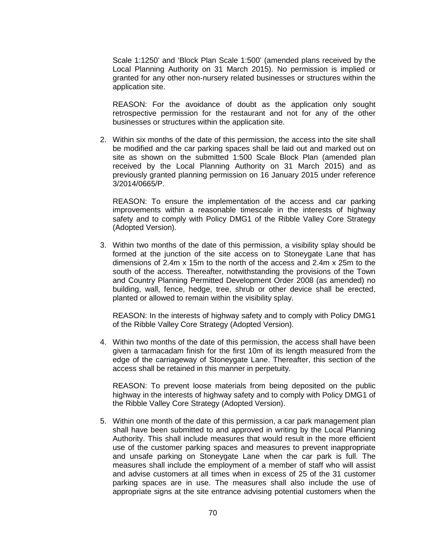Scale 1:1250' and 'Block Plan Scale 1:500' (amended plans received by the Local Planning Authority on 31 March 2015). No permission is implied or granted for any other non-nursery related businesses or structures within the application site.

REASON: For the avoidance of doubt as the application only sought retrospective permission for the restaurant and not for any of the other businesses or structures within the application site.

2. Within six months of the date of this permission, the access into the site shall be modified and the car parking spaces shall be laid out and marked out on site as shown on the submitted 1:500 Scale Block Plan (amended plan received by the Local Planning Authority on 31 March 2015) and as previously granted planning permission on 16 January 2015 under reference 3/2014/0665/P.

REASON: To ensure the implementation of the access and car parking improvements within a reasonable timescale in the interests of highway safety and to comply with Policy DMG1 of the Ribble Valley Core Strategy (Adopted Version).

3. Within two months of the date of this permission, a visibility splay should be formed at the junction of the site access on to Stoneygate Lane that has dimensions of 2.4m x 15m to the north of the access and 2.4m x 25m to the south of the access. Thereafter, notwithstanding the provisions of the Town and Country Planning Permitted Development Order 2008 (as amended) no building, wall, fence, hedge, tree, shrub or other device shall be erected, planted or allowed to remain within the visibility splay.

REASON: In the interests of highway safety and to comply with Policy DMG1 of the Ribble Valley Core Strategy (Adopted Version).

4. Within two months of the date of this permission, the access shall have been given a tarmacadam finish for the first 10m of its length measured from the edge of the carriageway of Stoneygate Lane. Thereafter, this section of the access shall be retained in this manner in perpetuity.

REASON: To prevent loose materials from being deposited on the public highway in the interests of highway safety and to comply with Policy DMG1 of the Ribble Valley Core Strategy (Adopted Version).

5. Within one month of the date of this permission, a car park management plan shall have been submitted to and approved in writing by the Local Planning Authority. This shall include measures that would result in the more efficient use of the customer parking spaces and measures to prevent inappropriate and unsafe parking on Stoneygate Lane when the car park is full. The measures shall include the employment of a member of staff who will assist and advise customers at all times when in excess of 25 of the 31 customer parking spaces are in use. The measures shall also include the use of appropriate signs at the site entrance advising potential customers when the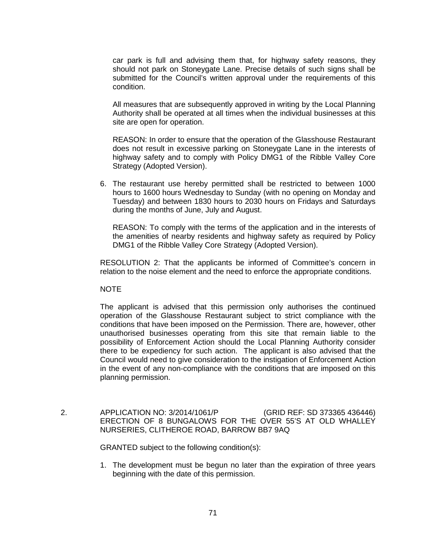car park is full and advising them that, for highway safety reasons, they should not park on Stoneygate Lane. Precise details of such signs shall be submitted for the Council's written approval under the requirements of this condition.

All measures that are subsequently approved in writing by the Local Planning Authority shall be operated at all times when the individual businesses at this site are open for operation.

REASON: In order to ensure that the operation of the Glasshouse Restaurant does not result in excessive parking on Stoneygate Lane in the interests of highway safety and to comply with Policy DMG1 of the Ribble Valley Core Strategy (Adopted Version).

6. The restaurant use hereby permitted shall be restricted to between 1000 hours to 1600 hours Wednesday to Sunday (with no opening on Monday and Tuesday) and between 1830 hours to 2030 hours on Fridays and Saturdays during the months of June, July and August.

REASON: To comply with the terms of the application and in the interests of the amenities of nearby residents and highway safety as required by Policy DMG1 of the Ribble Valley Core Strategy (Adopted Version).

RESOLUTION 2: That the applicants be informed of Committee's concern in relation to the noise element and the need to enforce the appropriate conditions.

### **NOTE**

The applicant is advised that this permission only authorises the continued operation of the Glasshouse Restaurant subject to strict compliance with the conditions that have been imposed on the Permission. There are, however, other unauthorised businesses operating from this site that remain liable to the possibility of Enforcement Action should the Local Planning Authority consider there to be expediency for such action. The applicant is also advised that the Council would need to give consideration to the instigation of Enforcement Action in the event of any non-compliance with the conditions that are imposed on this planning permission.

 2. APPLICATION NO: 3/2014/1061/P (GRID REF: SD 373365 436446) ERECTION OF 8 BUNGALOWS FOR THE OVER 55'S AT OLD WHALLEY NURSERIES, CLITHEROE ROAD, BARROW BB7 9AQ

GRANTED subject to the following condition(s):

1. The development must be begun no later than the expiration of three years beginning with the date of this permission.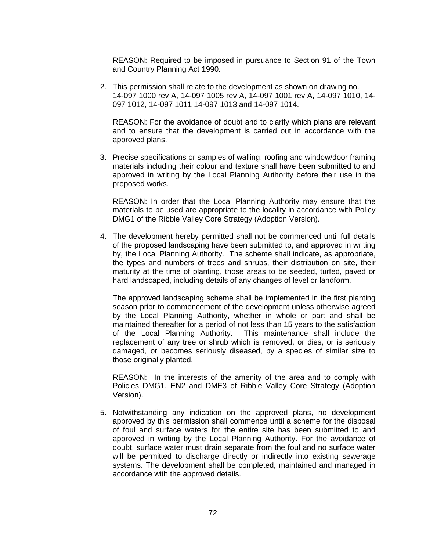REASON: Required to be imposed in pursuance to Section 91 of the Town and Country Planning Act 1990.

2. This permission shall relate to the development as shown on drawing no. 14-097 1000 rev A, 14-097 1005 rev A, 14-097 1001 rev A, 14-097 1010, 14- 097 1012, 14-097 1011 14-097 1013 and 14-097 1014.

REASON: For the avoidance of doubt and to clarify which plans are relevant and to ensure that the development is carried out in accordance with the approved plans.

3. Precise specifications or samples of walling, roofing and window/door framing materials including their colour and texture shall have been submitted to and approved in writing by the Local Planning Authority before their use in the proposed works.

REASON: In order that the Local Planning Authority may ensure that the materials to be used are appropriate to the locality in accordance with Policy DMG1 of the Ribble Valley Core Strategy (Adoption Version).

4. The development hereby permitted shall not be commenced until full details of the proposed landscaping have been submitted to, and approved in writing by, the Local Planning Authority. The scheme shall indicate, as appropriate, the types and numbers of trees and shrubs, their distribution on site, their maturity at the time of planting, those areas to be seeded, turfed, paved or hard landscaped, including details of any changes of level or landform.

The approved landscaping scheme shall be implemented in the first planting season prior to commencement of the development unless otherwise agreed by the Local Planning Authority, whether in whole or part and shall be maintained thereafter for a period of not less than 15 years to the satisfaction of the Local Planning Authority. This maintenance shall include the replacement of any tree or shrub which is removed, or dies, or is seriously damaged, or becomes seriously diseased, by a species of similar size to those originally planted.

REASON: In the interests of the amenity of the area and to comply with Policies DMG1, EN2 and DME3 of Ribble Valley Core Strategy (Adoption Version).

5. Notwithstanding any indication on the approved plans, no development approved by this permission shall commence until a scheme for the disposal of foul and surface waters for the entire site has been submitted to and approved in writing by the Local Planning Authority. For the avoidance of doubt, surface water must drain separate from the foul and no surface water will be permitted to discharge directly or indirectly into existing sewerage systems. The development shall be completed, maintained and managed in accordance with the approved details.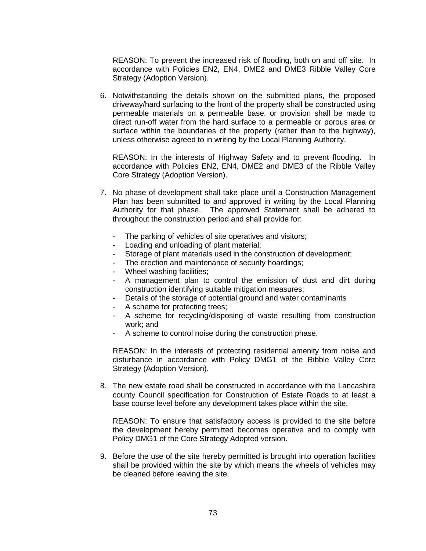REASON: To prevent the increased risk of flooding, both on and off site. In accordance with Policies EN2, EN4, DME2 and DME3 Ribble Valley Core Strategy (Adoption Version).

6. Notwithstanding the details shown on the submitted plans, the proposed driveway/hard surfacing to the front of the property shall be constructed using permeable materials on a permeable base, or provision shall be made to direct run-off water from the hard surface to a permeable or porous area or surface within the boundaries of the property (rather than to the highway), unless otherwise agreed to in writing by the Local Planning Authority.

REASON: In the interests of Highway Safety and to prevent flooding. In accordance with Policies EN2, EN4, DME2 and DME3 of the Ribble Valley Core Strategy (Adoption Version).

- 7. No phase of development shall take place until a Construction Management Plan has been submitted to and approved in writing by the Local Planning Authority for that phase. The approved Statement shall be adhered to throughout the construction period and shall provide for:
	- The parking of vehicles of site operatives and visitors;
	- Loading and unloading of plant material;
	- Storage of plant materials used in the construction of development;
	- The erection and maintenance of security hoardings;
	- Wheel washing facilities;
	- A management plan to control the emission of dust and dirt during construction identifying suitable mitigation measures;
	- Details of the storage of potential ground and water contaminants
	- A scheme for protecting trees;
	- A scheme for recycling/disposing of waste resulting from construction work; and
	- A scheme to control noise during the construction phase.

REASON: In the interests of protecting residential amenity from noise and disturbance in accordance with Policy DMG1 of the Ribble Valley Core Strategy (Adoption Version).

8. The new estate road shall be constructed in accordance with the Lancashire county Council specification for Construction of Estate Roads to at least a base course level before any development takes place within the site.

REASON: To ensure that satisfactory access is provided to the site before the development hereby permitted becomes operative and to comply with Policy DMG1 of the Core Strategy Adopted version.

9. Before the use of the site hereby permitted is brought into operation facilities shall be provided within the site by which means the wheels of vehicles may be cleaned before leaving the site.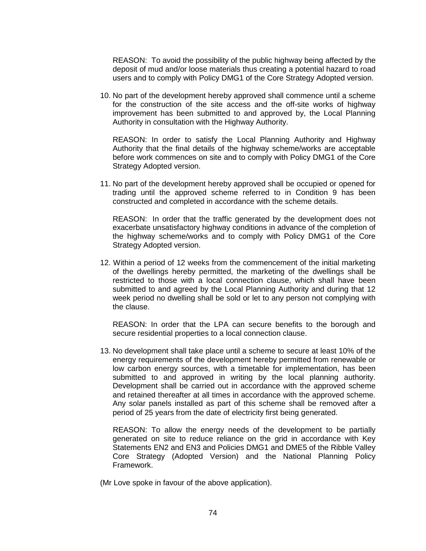REASON: To avoid the possibility of the public highway being affected by the deposit of mud and/or loose materials thus creating a potential hazard to road users and to comply with Policy DMG1 of the Core Strategy Adopted version.

10. No part of the development hereby approved shall commence until a scheme for the construction of the site access and the off-site works of highway improvement has been submitted to and approved by, the Local Planning Authority in consultation with the Highway Authority.

REASON: In order to satisfy the Local Planning Authority and Highway Authority that the final details of the highway scheme/works are acceptable before work commences on site and to comply with Policy DMG1 of the Core Strategy Adopted version.

11. No part of the development hereby approved shall be occupied or opened for trading until the approved scheme referred to in Condition 9 has been constructed and completed in accordance with the scheme details.

REASON: In order that the traffic generated by the development does not exacerbate unsatisfactory highway conditions in advance of the completion of the highway scheme/works and to comply with Policy DMG1 of the Core Strategy Adopted version.

12. Within a period of 12 weeks from the commencement of the initial marketing of the dwellings hereby permitted, the marketing of the dwellings shall be restricted to those with a local connection clause, which shall have been submitted to and agreed by the Local Planning Authority and during that 12 week period no dwelling shall be sold or let to any person not complying with the clause.

REASON: In order that the LPA can secure benefits to the borough and secure residential properties to a local connection clause.

13. No development shall take place until a scheme to secure at least 10% of the energy requirements of the development hereby permitted from renewable or low carbon energy sources, with a timetable for implementation, has been submitted to and approved in writing by the local planning authority. Development shall be carried out in accordance with the approved scheme and retained thereafter at all times in accordance with the approved scheme. Any solar panels installed as part of this scheme shall be removed after a period of 25 years from the date of electricity first being generated.

 REASON: To allow the energy needs of the development to be partially generated on site to reduce reliance on the grid in accordance with Key Statements EN2 and EN3 and Policies DMG1 and DME5 of the Ribble Valley Core Strategy (Adopted Version) and the National Planning Policy Framework.

(Mr Love spoke in favour of the above application).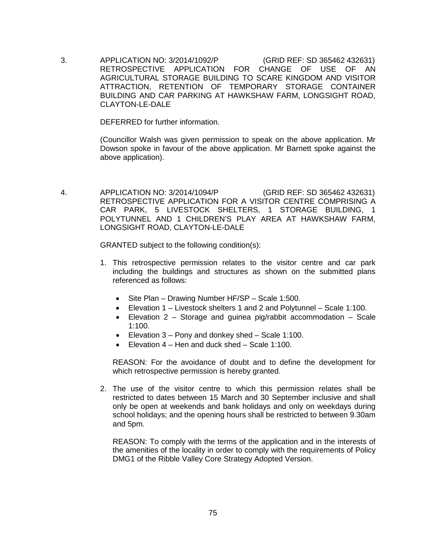3. APPLICATION NO: 3/2014/1092/P (GRID REF: SD 365462 432631) RETROSPECTIVE APPLICATION FOR CHANGE OF USE OF AN AGRICULTURAL STORAGE BUILDING TO SCARE KINGDOM AND VISITOR ATTRACTION, RETENTION OF TEMPORARY STORAGE CONTAINER BUILDING AND CAR PARKING AT HAWKSHAW FARM, LONGSIGHT ROAD, CLAYTON-LE-DALE

DEFERRED for further information.

(Councillor Walsh was given permission to speak on the above application. Mr Dowson spoke in favour of the above application. Mr Barnett spoke against the above application).

 4. APPLICATION NO: 3/2014/1094/P (GRID REF: SD 365462 432631) RETROSPECTIVE APPLICATION FOR A VISITOR CENTRE COMPRISING A CAR PARK, 5 LIVESTOCK SHELTERS, 1 STORAGE BUILDING, 1 POLYTUNNEL AND 1 CHILDREN'S PLAY AREA AT HAWKSHAW FARM, LONGSIGHT ROAD, CLAYTON-LE-DALE

GRANTED subject to the following condition(s):

- 1. This retrospective permission relates to the visitor centre and car park including the buildings and structures as shown on the submitted plans referenced as follows:
	- Site Plan Drawing Number HF/SP Scale 1:500.
	- Elevation 1 Livestock shelters 1 and 2 and Polytunnel Scale 1:100.
	- Elevation  $2$  Storage and guinea pig/rabbit accommodation Scale 1:100.
	- Elevation 3 Pony and donkey shed Scale 1:100.
	- Elevation 4 Hen and duck shed Scale 1:100.

REASON: For the avoidance of doubt and to define the development for which retrospective permission is hereby granted.

2. The use of the visitor centre to which this permission relates shall be restricted to dates between 15 March and 30 September inclusive and shall only be open at weekends and bank holidays and only on weekdays during school holidays; and the opening hours shall be restricted to between 9.30am and 5pm.

REASON: To comply with the terms of the application and in the interests of the amenities of the locality in order to comply with the requirements of Policy DMG1 of the Ribble Valley Core Strategy Adopted Version.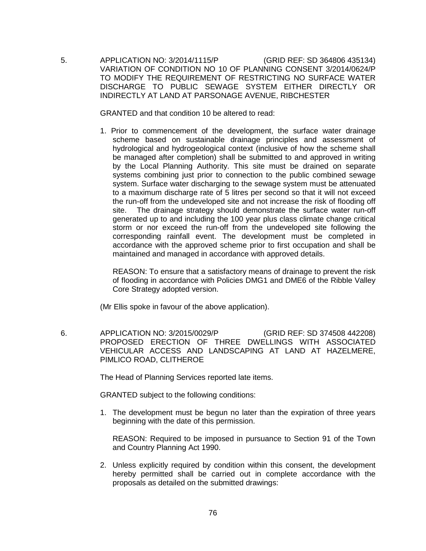5. APPLICATION NO: 3/2014/1115/P (GRID REF: SD 364806 435134) VARIATION OF CONDITION NO 10 OF PLANNING CONSENT 3/2014/0624/P TO MODIFY THE REQUIREMENT OF RESTRICTING NO SURFACE WATER DISCHARGE TO PUBLIC SEWAGE SYSTEM EITHER DIRECTLY OR INDIRECTLY AT LAND AT PARSONAGE AVENUE, RIBCHESTER

GRANTED and that condition 10 be altered to read:

1. Prior to commencement of the development, the surface water drainage scheme based on sustainable drainage principles and assessment of hydrological and hydrogeological context (inclusive of how the scheme shall be managed after completion) shall be submitted to and approved in writing by the Local Planning Authority. This site must be drained on separate systems combining just prior to connection to the public combined sewage system. Surface water discharging to the sewage system must be attenuated to a maximum discharge rate of 5 litres per second so that it will not exceed the run-off from the undeveloped site and not increase the risk of flooding off site. The drainage strategy should demonstrate the surface water run-off generated up to and including the 100 year plus class climate change critical storm or nor exceed the run-off from the undeveloped site following the corresponding rainfall event. The development must be completed in accordance with the approved scheme prior to first occupation and shall be maintained and managed in accordance with approved details.

REASON: To ensure that a satisfactory means of drainage to prevent the risk of flooding in accordance with Policies DMG1 and DME6 of the Ribble Valley Core Strategy adopted version.

(Mr Ellis spoke in favour of the above application).

 6. APPLICATION NO: 3/2015/0029/P (GRID REF: SD 374508 442208) PROPOSED ERECTION OF THREE DWELLINGS WITH ASSOCIATED VEHICULAR ACCESS AND LANDSCAPING AT LAND AT HAZELMERE, PIMLICO ROAD, CLITHEROE

The Head of Planning Services reported late items.

GRANTED subject to the following conditions:

1. The development must be begun no later than the expiration of three years beginning with the date of this permission.

REASON: Required to be imposed in pursuance to Section 91 of the Town and Country Planning Act 1990.

2. Unless explicitly required by condition within this consent, the development hereby permitted shall be carried out in complete accordance with the proposals as detailed on the submitted drawings: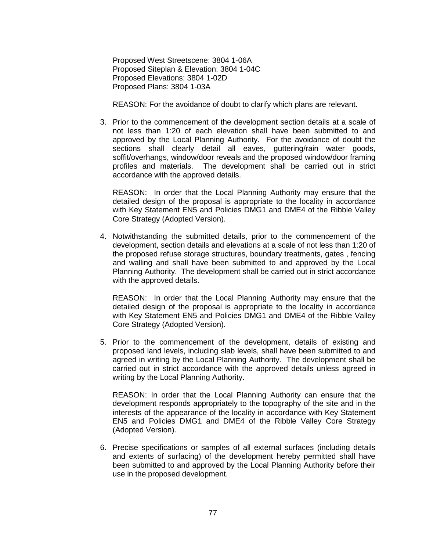Proposed West Streetscene: 3804 1-06A Proposed Siteplan & Elevation: 3804 1-04C Proposed Elevations: 3804 1-02D Proposed Plans: 3804 1-03A

REASON: For the avoidance of doubt to clarify which plans are relevant.

3. Prior to the commencement of the development section details at a scale of not less than 1:20 of each elevation shall have been submitted to and approved by the Local Planning Authority. For the avoidance of doubt the sections shall clearly detail all eaves, guttering/rain water goods, soffit/overhangs, window/door reveals and the proposed window/door framing profiles and materials. The development shall be carried out in strict accordance with the approved details.

REASON: In order that the Local Planning Authority may ensure that the detailed design of the proposal is appropriate to the locality in accordance with Key Statement EN5 and Policies DMG1 and DME4 of the Ribble Valley Core Strategy (Adopted Version).

4. Notwithstanding the submitted details, prior to the commencement of the development, section details and elevations at a scale of not less than 1:20 of the proposed refuse storage structures, boundary treatments, gates , fencing and walling and shall have been submitted to and approved by the Local Planning Authority. The development shall be carried out in strict accordance with the approved details.

REASON: In order that the Local Planning Authority may ensure that the detailed design of the proposal is appropriate to the locality in accordance with Key Statement EN5 and Policies DMG1 and DME4 of the Ribble Valley Core Strategy (Adopted Version).

5. Prior to the commencement of the development, details of existing and proposed land levels, including slab levels, shall have been submitted to and agreed in writing by the Local Planning Authority. The development shall be carried out in strict accordance with the approved details unless agreed in writing by the Local Planning Authority.

REASON: In order that the Local Planning Authority can ensure that the development responds appropriately to the topography of the site and in the interests of the appearance of the locality in accordance with Key Statement EN5 and Policies DMG1 and DME4 of the Ribble Valley Core Strategy (Adopted Version).

6. Precise specifications or samples of all external surfaces (including details and extents of surfacing) of the development hereby permitted shall have been submitted to and approved by the Local Planning Authority before their use in the proposed development.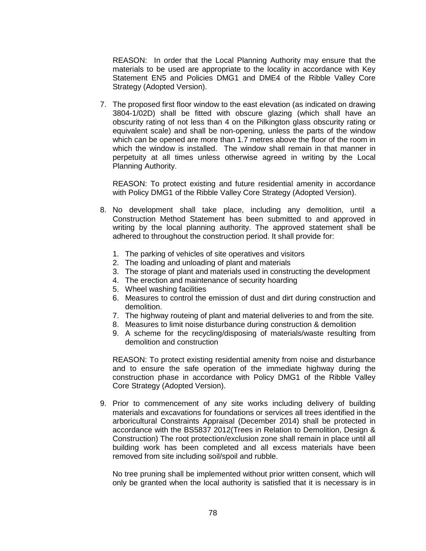REASON: In order that the Local Planning Authority may ensure that the materials to be used are appropriate to the locality in accordance with Key Statement EN5 and Policies DMG1 and DME4 of the Ribble Valley Core Strategy (Adopted Version).

7. The proposed first floor window to the east elevation (as indicated on drawing 3804-1/02D) shall be fitted with obscure glazing (which shall have an obscurity rating of not less than 4 on the Pilkington glass obscurity rating or equivalent scale) and shall be non-opening, unless the parts of the window which can be opened are more than 1.7 metres above the floor of the room in which the window is installed. The window shall remain in that manner in perpetuity at all times unless otherwise agreed in writing by the Local Planning Authority.

REASON: To protect existing and future residential amenity in accordance with Policy DMG1 of the Ribble Valley Core Strategy (Adopted Version).

- 8. No development shall take place, including any demolition, until a Construction Method Statement has been submitted to and approved in writing by the local planning authority. The approved statement shall be adhered to throughout the construction period. It shall provide for:
	- 1. The parking of vehicles of site operatives and visitors
	- 2. The loading and unloading of plant and materials
	- 3. The storage of plant and materials used in constructing the development
	- 4. The erection and maintenance of security hoarding
	- 5. Wheel washing facilities
	- 6. Measures to control the emission of dust and dirt during construction and demolition.
	- 7. The highway routeing of plant and material deliveries to and from the site.
	- 8. Measures to limit noise disturbance during construction & demolition
	- 9. A scheme for the recycling/disposing of materials/waste resulting from demolition and construction

REASON: To protect existing residential amenity from noise and disturbance and to ensure the safe operation of the immediate highway during the construction phase in accordance with Policy DMG1 of the Ribble Valley Core Strategy (Adopted Version).

9. Prior to commencement of any site works including delivery of building materials and excavations for foundations or services all trees identified in the arboricultural Constraints Appraisal (December 2014) shall be protected in accordance with the BS5837 2012(Trees in Relation to Demolition, Design & Construction) The root protection/exclusion zone shall remain in place until all building work has been completed and all excess materials have been removed from site including soil/spoil and rubble.

No tree pruning shall be implemented without prior written consent, which will only be granted when the local authority is satisfied that it is necessary is in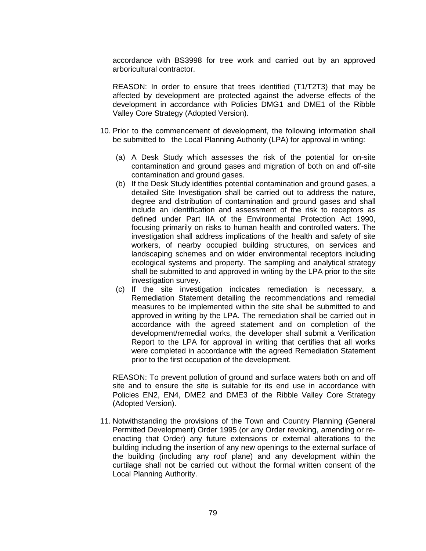accordance with BS3998 for tree work and carried out by an approved arboricultural contractor.

REASON: In order to ensure that trees identified (T1/T2T3) that may be affected by development are protected against the adverse effects of the development in accordance with Policies DMG1 and DME1 of the Ribble Valley Core Strategy (Adopted Version).

- 10. Prior to the commencement of development, the following information shall be submitted to the Local Planning Authority (LPA) for approval in writing:
	- (a) A Desk Study which assesses the risk of the potential for on-site contamination and ground gases and migration of both on and off-site contamination and ground gases.
	- (b) If the Desk Study identifies potential contamination and ground gases, a detailed Site Investigation shall be carried out to address the nature, degree and distribution of contamination and ground gases and shall include an identification and assessment of the risk to receptors as defined under Part IIA of the Environmental Protection Act 1990, focusing primarily on risks to human health and controlled waters. The investigation shall address implications of the health and safety of site workers, of nearby occupied building structures, on services and landscaping schemes and on wider environmental receptors including ecological systems and property. The sampling and analytical strategy shall be submitted to and approved in writing by the LPA prior to the site investigation survey.
	- (c) If the site investigation indicates remediation is necessary, a Remediation Statement detailing the recommendations and remedial measures to be implemented within the site shall be submitted to and approved in writing by the LPA. The remediation shall be carried out in accordance with the agreed statement and on completion of the development/remedial works, the developer shall submit a Verification Report to the LPA for approval in writing that certifies that all works were completed in accordance with the agreed Remediation Statement prior to the first occupation of the development.

REASON: To prevent pollution of ground and surface waters both on and off site and to ensure the site is suitable for its end use in accordance with Policies EN2, EN4, DME2 and DME3 of the Ribble Valley Core Strategy (Adopted Version).

11. Notwithstanding the provisions of the Town and Country Planning (General Permitted Development) Order 1995 (or any Order revoking, amending or reenacting that Order) any future extensions or external alterations to the building including the insertion of any new openings to the external surface of the building (including any roof plane) and any development within the curtilage shall not be carried out without the formal written consent of the Local Planning Authority.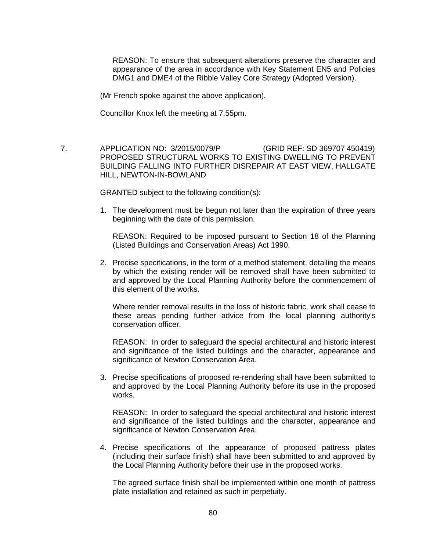REASON: To ensure that subsequent alterations preserve the character and appearance of the area in accordance with Key Statement EN5 and Policies DMG1 and DME4 of the Ribble Valley Core Strategy (Adopted Version).

(Mr French spoke against the above application).

Councillor Knox left the meeting at 7.55pm.

 7. APPLICATION NO: 3/2015/0079/P (GRID REF: SD 369707 450419) PROPOSED STRUCTURAL WORKS TO EXISTING DWELLING TO PREVENT BUILDING FALLING INTO FURTHER DISREPAIR AT EAST VIEW, HALLGATE HILL, NEWTON-IN-BOWLAND

GRANTED subject to the following condition(s):

1. The development must be begun not later than the expiration of three years beginning with the date of this permission.

REASON: Required to be imposed pursuant to Section 18 of the Planning (Listed Buildings and Conservation Areas) Act 1990.

2. Precise specifications, in the form of a method statement, detailing the means by which the existing render will be removed shall have been submitted to and approved by the Local Planning Authority before the commencement of this element of the works.

Where render removal results in the loss of historic fabric, work shall cease to these areas pending further advice from the local planning authority's conservation officer.

REASON: In order to safeguard the special architectural and historic interest and significance of the listed buildings and the character, appearance and significance of Newton Conservation Area.

3. Precise specifications of proposed re-rendering shall have been submitted to and approved by the Local Planning Authority before its use in the proposed works.

REASON: In order to safeguard the special architectural and historic interest and significance of the listed buildings and the character, appearance and significance of Newton Conservation Area.

4. Precise specifications of the appearance of proposed pattress plates (including their surface finish) shall have been submitted to and approved by the Local Planning Authority before their use in the proposed works.

The agreed surface finish shall be implemented within one month of pattress plate installation and retained as such in perpetuity.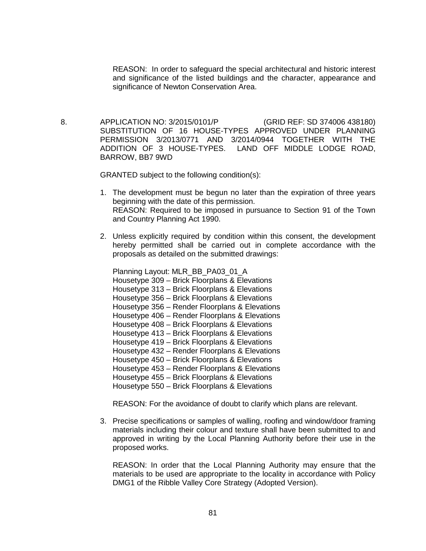REASON: In order to safeguard the special architectural and historic interest and significance of the listed buildings and the character, appearance and significance of Newton Conservation Area.

 8. APPLICATION NO: 3/2015/0101/P (GRID REF: SD 374006 438180) SUBSTITUTION OF 16 HOUSE-TYPES APPROVED UNDER PLANNING PERMISSION 3/2013/0771 AND 3/2014/0944 TOGETHER WITH THE ADDITION OF 3 HOUSE-TYPES. LAND OFF MIDDLE LODGE ROAD, BARROW, BB7 9WD

GRANTED subject to the following condition(s):

- 1. The development must be begun no later than the expiration of three years beginning with the date of this permission. REASON: Required to be imposed in pursuance to Section 91 of the Town and Country Planning Act 1990.
- 2. Unless explicitly required by condition within this consent, the development hereby permitted shall be carried out in complete accordance with the proposals as detailed on the submitted drawings:

Planning Layout: MLR\_BB\_PA03\_01\_A Housetype 309 – Brick Floorplans & Elevations Housetype 313 – Brick Floorplans & Elevations Housetype 356 – Brick Floorplans & Elevations Housetype 356 – Render Floorplans & Elevations Housetype 406 – Render Floorplans & Elevations Housetype 408 – Brick Floorplans & Elevations Housetype 413 – Brick Floorplans & Elevations Housetype 419 – Brick Floorplans & Elevations Housetype 432 – Render Floorplans & Elevations Housetype 450 – Brick Floorplans & Elevations Housetype 453 – Render Floorplans & Elevations Housetype 455 – Brick Floorplans & Elevations Housetype 550 – Brick Floorplans & Elevations

REASON: For the avoidance of doubt to clarify which plans are relevant.

3. Precise specifications or samples of walling, roofing and window/door framing materials including their colour and texture shall have been submitted to and approved in writing by the Local Planning Authority before their use in the proposed works.

REASON: In order that the Local Planning Authority may ensure that the materials to be used are appropriate to the locality in accordance with Policy DMG1 of the Ribble Valley Core Strategy (Adopted Version).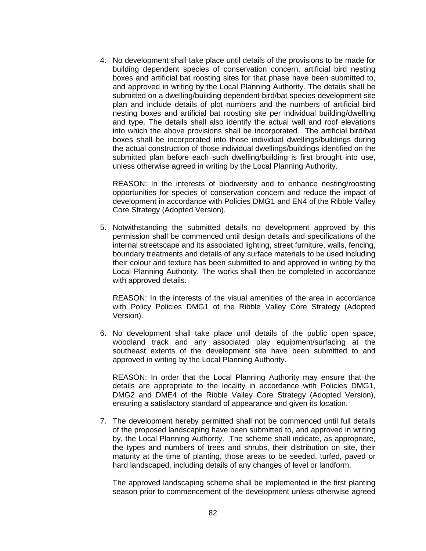4. No development shall take place until details of the provisions to be made for building dependent species of conservation concern, artificial bird nesting boxes and artificial bat roosting sites for that phase have been submitted to, and approved in writing by the Local Planning Authority. The details shall be submitted on a dwelling/building dependent bird/bat species development site plan and include details of plot numbers and the numbers of artificial bird nesting boxes and artificial bat roosting site per individual building/dwelling and type. The details shall also identify the actual wall and roof elevations into which the above provisions shall be incorporated. The artificial bird/bat boxes shall be incorporated into those individual dwellings/buildings during the actual construction of those individual dwellings/buildings identified on the submitted plan before each such dwelling/building is first brought into use, unless otherwise agreed in writing by the Local Planning Authority.

REASON: In the interests of biodiversity and to enhance nesting/roosting opportunities for species of conservation concern and reduce the impact of development in accordance with Policies DMG1 and EN4 of the Ribble Valley Core Strategy (Adopted Version).

5. Notwithstanding the submitted details no development approved by this permission shall be commenced until design details and specifications of the internal streetscape and its associated lighting, street furniture, walls, fencing, boundary treatments and details of any surface materials to be used including their colour and texture has been submitted to and approved in writing by the Local Planning Authority. The works shall then be completed in accordance with approved details.

REASON: In the interests of the visual amenities of the area in accordance with Policy Policies DMG1 of the Ribble Valley Core Strategy (Adopted Version).

6. No development shall take place until details of the public open space, woodland track and any associated play equipment/surfacing at the southeast extents of the development site have been submitted to and approved in writing by the Local Planning Authority.

REASON: In order that the Local Planning Authority may ensure that the details are appropriate to the locality in accordance with Policies DMG1, DMG2 and DME4 of the Ribble Valley Core Strategy (Adopted Version), ensuring a satisfactory standard of appearance and given its location.

7. The development hereby permitted shall not be commenced until full details of the proposed landscaping have been submitted to, and approved in writing by, the Local Planning Authority. The scheme shall indicate, as appropriate, the types and numbers of trees and shrubs, their distribution on site, their maturity at the time of planting, those areas to be seeded, turfed, paved or hard landscaped, including details of any changes of level or landform.

The approved landscaping scheme shall be implemented in the first planting season prior to commencement of the development unless otherwise agreed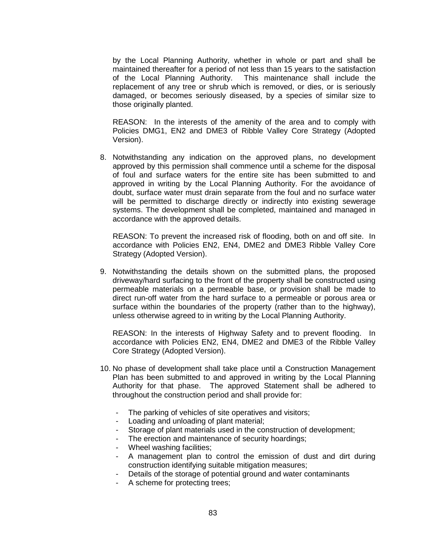by the Local Planning Authority, whether in whole or part and shall be maintained thereafter for a period of not less than 15 years to the satisfaction of the Local Planning Authority. This maintenance shall include the replacement of any tree or shrub which is removed, or dies, or is seriously damaged, or becomes seriously diseased, by a species of similar size to those originally planted.

REASON: In the interests of the amenity of the area and to comply with Policies DMG1, EN2 and DME3 of Ribble Valley Core Strategy (Adopted Version).

8. Notwithstanding any indication on the approved plans, no development approved by this permission shall commence until a scheme for the disposal of foul and surface waters for the entire site has been submitted to and approved in writing by the Local Planning Authority. For the avoidance of doubt, surface water must drain separate from the foul and no surface water will be permitted to discharge directly or indirectly into existing sewerage systems. The development shall be completed, maintained and managed in accordance with the approved details.

REASON: To prevent the increased risk of flooding, both on and off site. In accordance with Policies EN2, EN4, DME2 and DME3 Ribble Valley Core Strategy (Adopted Version).

9. Notwithstanding the details shown on the submitted plans, the proposed driveway/hard surfacing to the front of the property shall be constructed using permeable materials on a permeable base, or provision shall be made to direct run-off water from the hard surface to a permeable or porous area or surface within the boundaries of the property (rather than to the highway), unless otherwise agreed to in writing by the Local Planning Authority.

REASON: In the interests of Highway Safety and to prevent flooding. In accordance with Policies EN2, EN4, DME2 and DME3 of the Ribble Valley Core Strategy (Adopted Version).

- 10. No phase of development shall take place until a Construction Management Plan has been submitted to and approved in writing by the Local Planning Authority for that phase. The approved Statement shall be adhered to throughout the construction period and shall provide for:
	- The parking of vehicles of site operatives and visitors;
	- Loading and unloading of plant material;
	- Storage of plant materials used in the construction of development;
	- The erection and maintenance of security hoardings;
	- Wheel washing facilities;
	- A management plan to control the emission of dust and dirt during construction identifying suitable mitigation measures;
	- Details of the storage of potential ground and water contaminants
	- A scheme for protecting trees;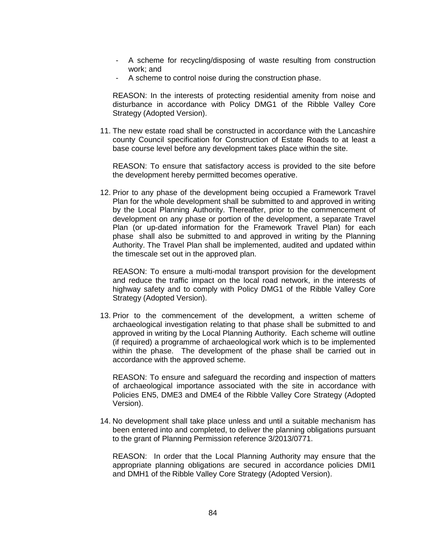- A scheme for recycling/disposing of waste resulting from construction work; and
- A scheme to control noise during the construction phase.

REASON: In the interests of protecting residential amenity from noise and disturbance in accordance with Policy DMG1 of the Ribble Valley Core Strategy (Adopted Version).

11. The new estate road shall be constructed in accordance with the Lancashire county Council specification for Construction of Estate Roads to at least a base course level before any development takes place within the site.

REASON: To ensure that satisfactory access is provided to the site before the development hereby permitted becomes operative.

12. Prior to any phase of the development being occupied a Framework Travel Plan for the whole development shall be submitted to and approved in writing by the Local Planning Authority. Thereafter, prior to the commencement of development on any phase or portion of the development, a separate Travel Plan (or up-dated information for the Framework Travel Plan) for each phase shall also be submitted to and approved in writing by the Planning Authority. The Travel Plan shall be implemented, audited and updated within the timescale set out in the approved plan.

REASON: To ensure a multi-modal transport provision for the development and reduce the traffic impact on the local road network, in the interests of highway safety and to comply with Policy DMG1 of the Ribble Valley Core Strategy (Adopted Version).

13. Prior to the commencement of the development, a written scheme of archaeological investigation relating to that phase shall be submitted to and approved in writing by the Local Planning Authority. Each scheme will outline (if required) a programme of archaeological work which is to be implemented within the phase. The development of the phase shall be carried out in accordance with the approved scheme.

REASON: To ensure and safeguard the recording and inspection of matters of archaeological importance associated with the site in accordance with Policies EN5, DME3 and DME4 of the Ribble Valley Core Strategy (Adopted Version).

14. No development shall take place unless and until a suitable mechanism has been entered into and completed, to deliver the planning obligations pursuant to the grant of Planning Permission reference 3/2013/0771.

REASON: In order that the Local Planning Authority may ensure that the appropriate planning obligations are secured in accordance policies DMI1 and DMH1 of the Ribble Valley Core Strategy (Adopted Version).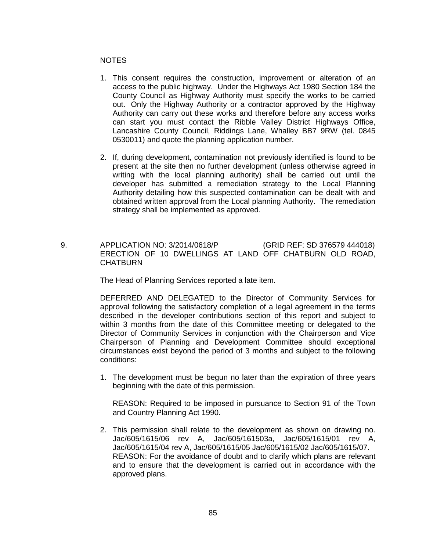### NOTES

- 1. This consent requires the construction, improvement or alteration of an access to the public highway. Under the Highways Act 1980 Section 184 the County Council as Highway Authority must specify the works to be carried out. Only the Highway Authority or a contractor approved by the Highway Authority can carry out these works and therefore before any access works can start you must contact the Ribble Valley District Highways Office, Lancashire County Council, Riddings Lane, Whalley BB7 9RW (tel. 0845 0530011) and quote the planning application number.
- 2. If, during development, contamination not previously identified is found to be present at the site then no further development (unless otherwise agreed in writing with the local planning authority) shall be carried out until the developer has submitted a remediation strategy to the Local Planning Authority detailing how this suspected contamination can be dealt with and obtained written approval from the Local planning Authority. The remediation strategy shall be implemented as approved.
- 9. APPLICATION NO: 3/2014/0618/P (GRID REF: SD 376579 444018) ERECTION OF 10 DWELLINGS AT LAND OFF CHATBURN OLD ROAD, **CHATBURN**

The Head of Planning Services reported a late item.

DEFERRED AND DELEGATED to the Director of Community Services for approval following the satisfactory completion of a legal agreement in the terms described in the developer contributions section of this report and subject to within 3 months from the date of this Committee meeting or delegated to the Director of Community Services in conjunction with the Chairperson and Vice Chairperson of Planning and Development Committee should exceptional circumstances exist beyond the period of 3 months and subject to the following conditions:

1. The development must be begun no later than the expiration of three years beginning with the date of this permission.

REASON: Required to be imposed in pursuance to Section 91 of the Town and Country Planning Act 1990.

2. This permission shall relate to the development as shown on drawing no. Jac/605/1615/06 rev A, Jac/605/161503a, Jac/605/1615/01 rev A, Jac/605/1615/04 rev A, Jac/605/1615/05 Jac/605/1615/02 Jac/605/1615/07. REASON: For the avoidance of doubt and to clarify which plans are relevant and to ensure that the development is carried out in accordance with the approved plans.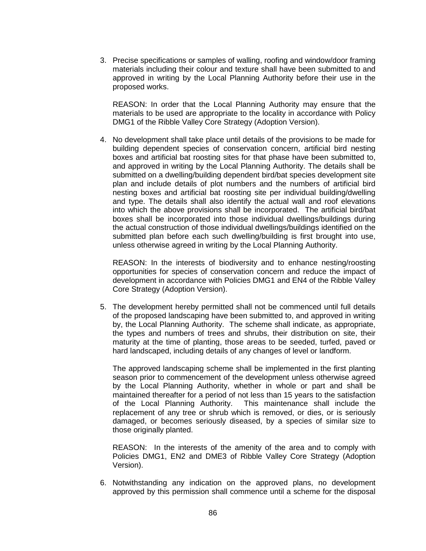3. Precise specifications or samples of walling, roofing and window/door framing materials including their colour and texture shall have been submitted to and approved in writing by the Local Planning Authority before their use in the proposed works.

REASON: In order that the Local Planning Authority may ensure that the materials to be used are appropriate to the locality in accordance with Policy DMG1 of the Ribble Valley Core Strategy (Adoption Version).

4. No development shall take place until details of the provisions to be made for building dependent species of conservation concern, artificial bird nesting boxes and artificial bat roosting sites for that phase have been submitted to, and approved in writing by the Local Planning Authority. The details shall be submitted on a dwelling/building dependent bird/bat species development site plan and include details of plot numbers and the numbers of artificial bird nesting boxes and artificial bat roosting site per individual building/dwelling and type. The details shall also identify the actual wall and roof elevations into which the above provisions shall be incorporated. The artificial bird/bat boxes shall be incorporated into those individual dwellings/buildings during the actual construction of those individual dwellings/buildings identified on the submitted plan before each such dwelling/building is first brought into use, unless otherwise agreed in writing by the Local Planning Authority.

REASON: In the interests of biodiversity and to enhance nesting/roosting opportunities for species of conservation concern and reduce the impact of development in accordance with Policies DMG1 and EN4 of the Ribble Valley Core Strategy (Adoption Version).

5. The development hereby permitted shall not be commenced until full details of the proposed landscaping have been submitted to, and approved in writing by, the Local Planning Authority. The scheme shall indicate, as appropriate, the types and numbers of trees and shrubs, their distribution on site, their maturity at the time of planting, those areas to be seeded, turfed, paved or hard landscaped, including details of any changes of level or landform.

The approved landscaping scheme shall be implemented in the first planting season prior to commencement of the development unless otherwise agreed by the Local Planning Authority, whether in whole or part and shall be maintained thereafter for a period of not less than 15 years to the satisfaction of the Local Planning Authority. This maintenance shall include the replacement of any tree or shrub which is removed, or dies, or is seriously damaged, or becomes seriously diseased, by a species of similar size to those originally planted.

REASON: In the interests of the amenity of the area and to comply with Policies DMG1, EN2 and DME3 of Ribble Valley Core Strategy (Adoption Version).

6. Notwithstanding any indication on the approved plans, no development approved by this permission shall commence until a scheme for the disposal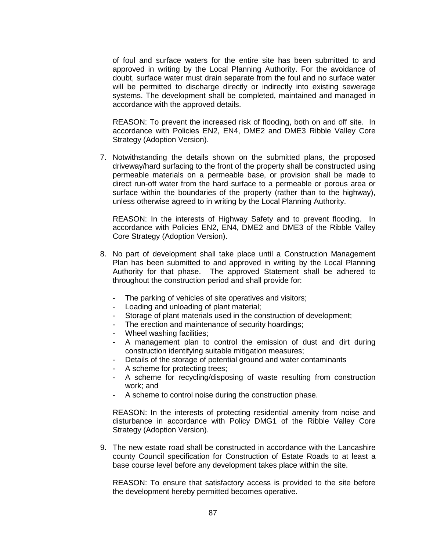of foul and surface waters for the entire site has been submitted to and approved in writing by the Local Planning Authority. For the avoidance of doubt, surface water must drain separate from the foul and no surface water will be permitted to discharge directly or indirectly into existing sewerage systems. The development shall be completed, maintained and managed in accordance with the approved details.

REASON: To prevent the increased risk of flooding, both on and off site. In accordance with Policies EN2, EN4, DME2 and DME3 Ribble Valley Core Strategy (Adoption Version).

7. Notwithstanding the details shown on the submitted plans, the proposed driveway/hard surfacing to the front of the property shall be constructed using permeable materials on a permeable base, or provision shall be made to direct run-off water from the hard surface to a permeable or porous area or surface within the boundaries of the property (rather than to the highway), unless otherwise agreed to in writing by the Local Planning Authority.

REASON: In the interests of Highway Safety and to prevent flooding. In accordance with Policies EN2, EN4, DME2 and DME3 of the Ribble Valley Core Strategy (Adoption Version).

- 8. No part of development shall take place until a Construction Management Plan has been submitted to and approved in writing by the Local Planning Authority for that phase. The approved Statement shall be adhered to throughout the construction period and shall provide for:
	- The parking of vehicles of site operatives and visitors;
	- Loading and unloading of plant material;
	- Storage of plant materials used in the construction of development;
	- The erection and maintenance of security hoardings;
	- Wheel washing facilities;
	- A management plan to control the emission of dust and dirt during construction identifying suitable mitigation measures;
	- Details of the storage of potential ground and water contaminants
	- A scheme for protecting trees;
	- A scheme for recycling/disposing of waste resulting from construction work; and
	- A scheme to control noise during the construction phase.

REASON: In the interests of protecting residential amenity from noise and disturbance in accordance with Policy DMG1 of the Ribble Valley Core Strategy (Adoption Version).

9. The new estate road shall be constructed in accordance with the Lancashire county Council specification for Construction of Estate Roads to at least a base course level before any development takes place within the site.

REASON: To ensure that satisfactory access is provided to the site before the development hereby permitted becomes operative.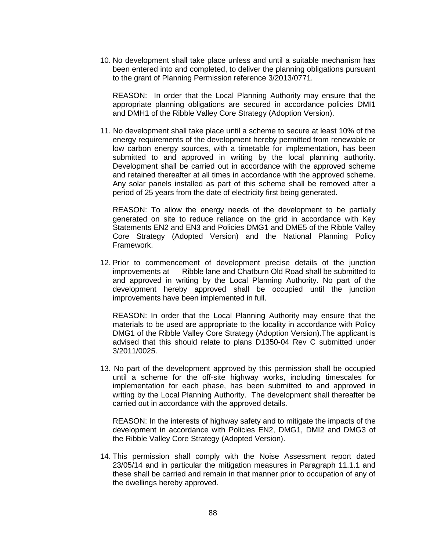10. No development shall take place unless and until a suitable mechanism has been entered into and completed, to deliver the planning obligations pursuant to the grant of Planning Permission reference 3/2013/0771.

REASON: In order that the Local Planning Authority may ensure that the appropriate planning obligations are secured in accordance policies DMI1 and DMH1 of the Ribble Valley Core Strategy (Adoption Version).

11. No development shall take place until a scheme to secure at least 10% of the energy requirements of the development hereby permitted from renewable or low carbon energy sources, with a timetable for implementation, has been submitted to and approved in writing by the local planning authority. Development shall be carried out in accordance with the approved scheme and retained thereafter at all times in accordance with the approved scheme. Any solar panels installed as part of this scheme shall be removed after a period of 25 years from the date of electricity first being generated.

REASON: To allow the energy needs of the development to be partially generated on site to reduce reliance on the grid in accordance with Key Statements EN2 and EN3 and Policies DMG1 and DME5 of the Ribble Valley Core Strategy (Adopted Version) and the National Planning Policy Framework.

12. Prior to commencement of development precise details of the junction improvements at Ribble lane and Chatburn Old Road shall be submitted to and approved in writing by the Local Planning Authority. No part of the development hereby approved shall be occupied until the junction improvements have been implemented in full.

REASON: In order that the Local Planning Authority may ensure that the materials to be used are appropriate to the locality in accordance with Policy DMG1 of the Ribble Valley Core Strategy (Adoption Version).The applicant is advised that this should relate to plans D1350-04 Rev C submitted under 3/2011/0025.

13. No part of the development approved by this permission shall be occupied until a scheme for the off-site highway works, including timescales for implementation for each phase, has been submitted to and approved in writing by the Local Planning Authority. The development shall thereafter be carried out in accordance with the approved details.

REASON: In the interests of highway safety and to mitigate the impacts of the development in accordance with Policies EN2, DMG1, DMI2 and DMG3 of the Ribble Valley Core Strategy (Adopted Version).

14. This permission shall comply with the Noise Assessment report dated 23/05/14 and in particular the mitigation measures in Paragraph 11.1.1 and these shall be carried and remain in that manner prior to occupation of any of the dwellings hereby approved.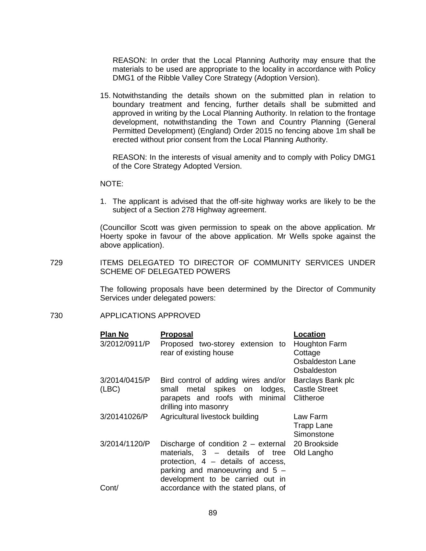REASON: In order that the Local Planning Authority may ensure that the materials to be used are appropriate to the locality in accordance with Policy DMG1 of the Ribble Valley Core Strategy (Adoption Version).

15. Notwithstanding the details shown on the submitted plan in relation to boundary treatment and fencing, further details shall be submitted and approved in writing by the Local Planning Authority. In relation to the frontage development, notwithstanding the Town and Country Planning (General Permitted Development) (England) Order 2015 no fencing above 1m shall be erected without prior consent from the Local Planning Authority.

REASON: In the interests of visual amenity and to comply with Policy DMG1 of the Core Strategy Adopted Version.

NOTE:

1. The applicant is advised that the off-site highway works are likely to be the subject of a Section 278 Highway agreement.

(Councillor Scott was given permission to speak on the above application. Mr Hoerty spoke in favour of the above application. Mr Wells spoke against the above application).

729 ITEMS DELEGATED TO DIRECTOR OF COMMUNITY SERVICES UNDER SCHEME OF DELEGATED POWERS

> The following proposals have been determined by the Director of Community Services under delegated powers:

### 730 APPLICATIONS APPROVED

| Plan No                | Proposal                                                                                                                                                                                 | Location                                                           |
|------------------------|------------------------------------------------------------------------------------------------------------------------------------------------------------------------------------------|--------------------------------------------------------------------|
| 3/2012/0911/P          | Proposed two-storey extension to<br>rear of existing house                                                                                                                               | Houghton Farm<br>Cottage<br><b>Osbaldeston Lane</b><br>Osbaldeston |
| 3/2014/0415/P<br>(ABC) | Bird control of adding wires and/or<br>metal spikes on<br>small<br>parapets and roofs with minimal<br>drilling into masonry                                                              | Barclays Bank plc<br>lodges, Castle Street<br>Clitheroe            |
| 3/20141026/P           | Agricultural livestock building                                                                                                                                                          | Law Farm<br><b>Trapp Lane</b><br>Simonstone                        |
| 3/2014/1120/P          | Discharge of condition $2 -$ external<br>materials, $3 -$ details of tree<br>protection, 4 – details of access,<br>parking and manoeuvring and $5 -$<br>development to be carried out in | 20 Brookside<br>Old Langho                                         |
|                        |                                                                                                                                                                                          |                                                                    |
| Cont/                  | accordance with the stated plans, of                                                                                                                                                     |                                                                    |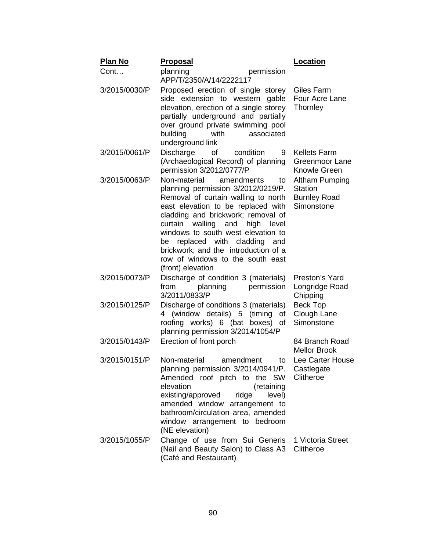| <b>Plan No</b> | <u>Proposal</u>                                                                                                                                                                                                                                                                                                                                                                                                 | Location                                                              |
|----------------|-----------------------------------------------------------------------------------------------------------------------------------------------------------------------------------------------------------------------------------------------------------------------------------------------------------------------------------------------------------------------------------------------------------------|-----------------------------------------------------------------------|
| Cont           | planning<br>permission<br>APP/T/2350/A/14/2222117                                                                                                                                                                                                                                                                                                                                                               |                                                                       |
| 3/2015/0030/P  | Proposed erection of single storey<br>side extension to western gable<br>elevation, erection of a single storey<br>partially underground and partially<br>over ground private swimming pool<br>building<br>associated<br>with<br>underground link                                                                                                                                                               | Giles Farm<br>Four Acre Lane<br>Thornley                              |
| 3/2015/0061/P  | Discharge<br>0f<br>condition<br>9<br>(Archaeological Record) of planning<br>permission 3/2012/0777/P                                                                                                                                                                                                                                                                                                            | <b>Kellets Farm</b><br>Greenmoor Lane<br>Knowle Green                 |
| 3/2015/0063/P  | Non-material<br>amendments<br>to<br>planning permission 3/2012/0219/P.<br>Removal of curtain walling to north<br>east elevation to be replaced with<br>cladding and brickwork; removal of<br>walling and high<br>curtain<br>level<br>windows to south west elevation to<br>replaced with cladding<br>and<br>be<br>brickwork; and the introduction of a<br>row of windows to the south east<br>(front) elevation | Altham Pumping<br><b>Station</b><br><b>Burnley Road</b><br>Simonstone |
| 3/2015/0073/P  | Discharge of condition 3 (materials)<br>permission<br>planning<br>from<br>3/2011/0833/P                                                                                                                                                                                                                                                                                                                         | Preston's Yard<br>Longridge Road<br>Chipping                          |
| 3/2015/0125/P  | Discharge of conditions 3 (materials)<br>4 (window details) 5 (timing<br>οf<br>roofing works) 6 (bat boxes) of<br>planning permission 3/2014/1054/P                                                                                                                                                                                                                                                             | <b>Beck Top</b><br>Clough Lane<br>Simonstone                          |
| 3/2015/0143/P  | Erection of front porch                                                                                                                                                                                                                                                                                                                                                                                         | 84 Branch Road<br><b>Mellor Brook</b>                                 |
| 3/2015/0151/P  | Non-material<br>amendment<br>to<br>planning permission 3/2014/0941/P.<br>Amended roof pitch to the SW<br>elevation<br>(retaining<br>existing/approved<br>ridge<br>level)<br>amended window arrangement to<br>bathroom/circulation area, amended<br>window arrangement to bedroom<br>(NE elevation)                                                                                                              | Lee Carter House<br>Castlegate<br>Clitheroe                           |
| 3/2015/1055/P  | Change of use from Sui Generis<br>(Nail and Beauty Salon) to Class A3<br>(Café and Restaurant)                                                                                                                                                                                                                                                                                                                  | 1 Victoria Street<br>Clitheroe                                        |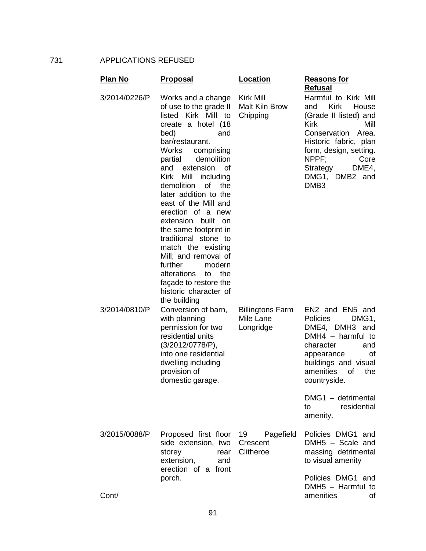731 APPLICATIONS REFUSED

| <u>Plan No</u> | <u>Proposal</u>                                                                                                                                                                                                                                                                                                                                                                                                                                                                                                                                                                        | <b>Location</b>                                       | <b>Reasons for</b><br><b>Refusal</b>                                                                                                                                                                                                                     |
|----------------|----------------------------------------------------------------------------------------------------------------------------------------------------------------------------------------------------------------------------------------------------------------------------------------------------------------------------------------------------------------------------------------------------------------------------------------------------------------------------------------------------------------------------------------------------------------------------------------|-------------------------------------------------------|----------------------------------------------------------------------------------------------------------------------------------------------------------------------------------------------------------------------------------------------------------|
| 3/2014/0226/P  | Works and a change<br>of use to the grade II<br>listed Kirk Mill to<br>create a hotel (18<br>bed)<br>and<br>bar/restaurant.<br>Works<br>comprising<br>demolition<br>partial<br>extension<br>and<br>Ωf<br><b>Kirk</b><br>Mill<br>including<br>demolition<br>0f<br>the<br>later addition to the<br>east of the Mill and<br>erection of a new<br>extension built<br>on.<br>the same footprint in<br>traditional stone to<br>match the existing<br>Mill; and removal of<br>further<br>modern<br>alterations<br>the<br>to<br>façade to restore the<br>historic character of<br>the building | <b>Kirk Mill</b><br><b>Malt Kiln Brow</b><br>Chipping | Harmful to Kirk Mill<br><b>Kirk</b><br>House<br>and<br>(Grade II listed) and<br><b>Kirk</b><br>Mill<br>Conservation Area.<br>Historic fabric, plan<br>form, design, setting.<br>NPPF:<br>Core<br>DME4,<br>Strategy<br>DMG1, DMB2 and<br>DMB <sub>3</sub> |
| 3/2014/0810/P  | Conversion of barn,<br>with planning<br>permission for two<br>residential units<br>(3/2012/0778/P),<br>into one residential<br>dwelling including<br>provision of<br>domestic garage.                                                                                                                                                                                                                                                                                                                                                                                                  | <b>Billingtons Farm</b><br>Mile Lane<br>Longridge     | EN2 and EN5 and<br>Policies<br>DMG1,<br>DME4, DMH3 and<br>$DMH4 - harmful$ to<br>character<br>and<br>appearance<br>οf<br>buildings and visual<br>amenities<br>of<br>the<br>countryside.                                                                  |
|                |                                                                                                                                                                                                                                                                                                                                                                                                                                                                                                                                                                                        |                                                       | DMG1 - detrimental<br>residential<br>to<br>amenity.                                                                                                                                                                                                      |
| 3/2015/0088/P  | Proposed first floor 19<br>side extension, two<br>storey<br>rear<br>extension,<br>and<br>erection of a front                                                                                                                                                                                                                                                                                                                                                                                                                                                                           | Pagefield<br>Crescent<br>Clitheroe                    | Policies DMG1 and<br>DMH5 - Scale and<br>massing detrimental<br>to visual amenity                                                                                                                                                                        |
| Cont/          | porch.                                                                                                                                                                                                                                                                                                                                                                                                                                                                                                                                                                                 |                                                       | Policies DMG1 and<br>DMH5 - Harmful to<br>amenities<br>οf                                                                                                                                                                                                |

91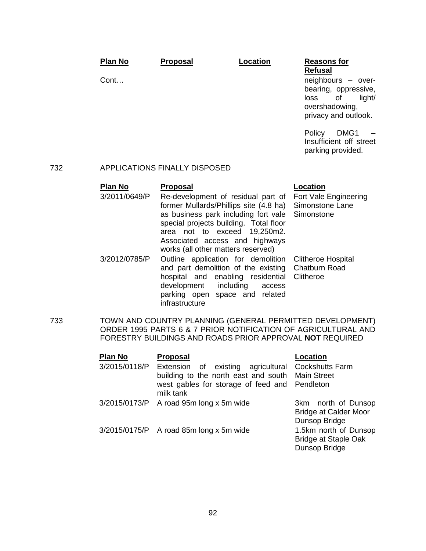|     | <b>Plan No</b>                  | <b>Proposal</b>                                                                                                                                                                                                                                                                 | Location  | <b>Reasons for</b><br><b>Refusal</b>                                                                                       |
|-----|---------------------------------|---------------------------------------------------------------------------------------------------------------------------------------------------------------------------------------------------------------------------------------------------------------------------------|-----------|----------------------------------------------------------------------------------------------------------------------------|
|     | Cont                            |                                                                                                                                                                                                                                                                                 |           | neighbours - over-<br>bearing, oppressive,<br>loss<br>of<br>light/<br>overshadowing,<br>privacy and outlook.               |
|     |                                 |                                                                                                                                                                                                                                                                                 |           | Policy<br>DMG1<br>Insufficient off street<br>parking provided.                                                             |
| 732 |                                 | <b>APPLICATIONS FINALLY DISPOSED</b>                                                                                                                                                                                                                                            |           |                                                                                                                            |
|     | <b>Plan No</b><br>3/2011/0649/P | <b>Proposal</b><br>Re-development of residual part of<br>former Mullards/Phillips site (4.8 ha)<br>as business park including fort vale<br>special projects building. Total floor<br>area not to exceed<br>Associated access and highways<br>works (all other matters reserved) | 19,250m2. | <b>Location</b><br>Fort Vale Engineering<br>Simonstone Lane<br>Simonstone                                                  |
|     | 3/2012/0785/P                   | Outline application for demolition<br>and part demolition of the existing<br>hospital and enabling residential<br>development including<br>parking open space and related<br>infrastructure                                                                                     | access    | <b>Clitheroe Hospital</b><br>Chatburn Road<br>Clitheroe                                                                    |
| 733 |                                 | FORESTRY BUILDINGS AND ROADS PRIOR APPROVAL NOT REQUIRED                                                                                                                                                                                                                        |           | TOWN AND COUNTRY PLANNING (GENERAL PERMITTED DEVELOPMENT)<br>ORDER 1995 PARTS 6 & 7 PRIOR NOTIFICATION OF AGRICULTURAL AND |
|     | Plan No<br>3/2015/0118/P        | <b>Proposal</b><br>Extension of existing agricultural<br>building to the north east and south<br>west gables for storage of feed and<br>milk tank                                                                                                                               |           | <b>Location</b><br>Cockshutts Farm<br><b>Main Street</b><br>Pendleton                                                      |
|     | 3/2015/0173/P                   | A road 95m long x 5m wide                                                                                                                                                                                                                                                       |           | 3km north of Dunsop<br><b>Bridge at Calder Moor</b><br>Dunsop Bridge                                                       |
|     | 3/2015/0175/P                   | A road 85m long x 5m wide                                                                                                                                                                                                                                                       |           | 1.5km north of Dunsop<br><b>Bridge at Staple Oak</b><br>Dunsop Bridge                                                      |

92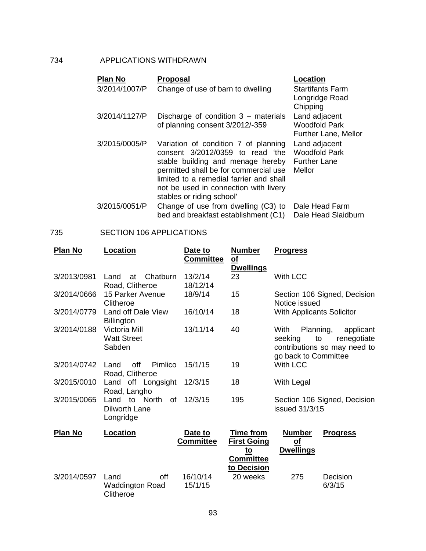## 734 APPLICATIONS WITHDRAWN

| <b>Plan No</b> | <b>Proposal</b>                                                                                                                                                                                                                                                         | <b>Location</b>                                                        |
|----------------|-------------------------------------------------------------------------------------------------------------------------------------------------------------------------------------------------------------------------------------------------------------------------|------------------------------------------------------------------------|
| 3/2014/1007/P  | Change of use of barn to dwelling                                                                                                                                                                                                                                       | <b>Startifants Farm</b><br>Longridge Road<br>Chipping                  |
| 3/2014/1127/P  | Discharge of condition $3$ – materials<br>of planning consent 3/2012/-359                                                                                                                                                                                               | Land adjacent<br><b>Woodfold Park</b><br><b>Further Lane, Mellor</b>   |
| 3/2015/0005/P  | Variation of condition 7 of planning<br>consent 3/2012/0359 to read 'the<br>stable building and menage hereby<br>permitted shall be for commercial use<br>limited to a remedial farrier and shall<br>not be used in connection with livery<br>stables or riding school' | Land adjacent<br><b>Woodfold Park</b><br><b>Further Lane</b><br>Mellor |
| 3/2015/0051/P  | Change of use from dwelling (C3) to<br>bed and breakfast establishment (C1)                                                                                                                                                                                             | Dale Head Farm<br>Dale Head Slaidburn                                  |

### 735 SECTION 106 APPLICATIONS

| <b>Plan No</b> | Location                                           | Date to<br><b>Committee</b> | <b>Number</b><br>$\underline{\mathsf{of}}$<br><b>Dwellings</b>                    | <b>Progress</b>                                                                                                        |
|----------------|----------------------------------------------------|-----------------------------|-----------------------------------------------------------------------------------|------------------------------------------------------------------------------------------------------------------------|
| 3/2013/0981    | Chatburn<br>Land<br>at<br>Road, Clitheroe          | 13/2/14<br>18/12/14         | 23                                                                                | With LCC                                                                                                               |
| 3/2014/0666    | 15 Parker Avenue<br>Clitheroe                      | 18/9/14                     | 15                                                                                | Section 106 Signed, Decision<br>Notice issued                                                                          |
| 3/2014/0779    | Land off Dale View<br>Billington                   | 16/10/14                    | 18                                                                                | <b>With Applicants Solicitor</b>                                                                                       |
| 3/2014/0188    | Victoria Mill<br><b>Watt Street</b><br>Sabden      | 13/11/14                    | 40                                                                                | With<br>Planning,<br>applicant<br>seeking<br>to<br>renegotiate<br>contributions so may need to<br>go back to Committee |
| 3/2014/0742    | Pimlico<br>off<br>Land<br>Road, Clitheroe          | 15/1/15                     | 19                                                                                | With LCC                                                                                                               |
| 3/2015/0010    | Land off Longsight<br>Road, Langho                 | 12/3/15                     | 18                                                                                | With Legal                                                                                                             |
| 3/2015/0065    | Land to North<br>0f<br>Dilworth Lane<br>Longridge  | 12/3/15                     | 195                                                                               | Section 106 Signed, Decision<br>issued 31/3/15                                                                         |
| <b>Plan No</b> | Location                                           | Date to<br><b>Committee</b> | <b>Time from</b><br><b>First Going</b><br>$to$<br><b>Committee</b><br>to Decision | <b>Number</b><br><b>Progress</b><br><u>of</u><br><b>Dwellings</b>                                                      |
| 3/2014/0597    | off<br>Land<br><b>Waddington Road</b><br>Clitheroe | 16/10/14<br>15/1/15         | 20 weeks                                                                          | 275<br>Decision<br>6/3/15                                                                                              |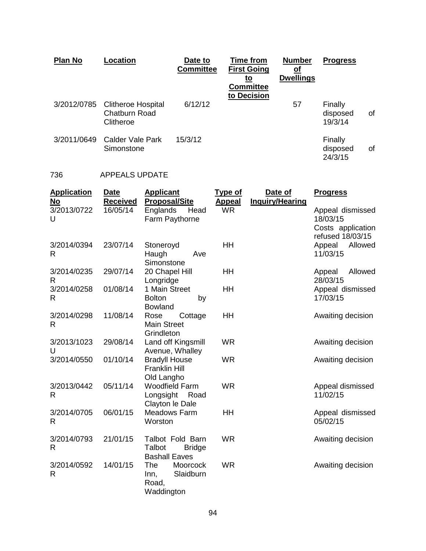| <b>Plan No</b> | Location                                                | Date to<br><b>Committee</b> | <b>Time from</b><br><b>First Going</b><br>to<br><b>Committee</b><br>to Decision | <b>Number</b><br><u>of</u><br><b>Dwellings</b> | <b>Progress</b>                |    |
|----------------|---------------------------------------------------------|-----------------------------|---------------------------------------------------------------------------------|------------------------------------------------|--------------------------------|----|
| 3/2012/0785    | <b>Clitheroe Hospital</b><br>Chatburn Road<br>Clitheroe | 6/12/12                     |                                                                                 | 57                                             | Finally<br>disposed<br>19/3/14 | οf |
| 3/2011/0649    | Calder Vale Park<br>Simonstone                          | 15/3/12                     |                                                                                 |                                                | Finally<br>disposed<br>24/3/15 | οf |

# 736 APPEALS UPDATE

| <b>Application</b><br>No | <b>Date</b><br><b>Received</b> | <b>Applicant</b><br><b>Proposal/Site</b>                            | <b>Type of</b><br><b>Appeal</b> | Date of<br><b>Inquiry/Hearing</b> | <b>Progress</b>                                   |
|--------------------------|--------------------------------|---------------------------------------------------------------------|---------------------------------|-----------------------------------|---------------------------------------------------|
| 3/2013/0722<br>U         | 16/05/14                       | Englands<br>Head<br>Farm Paythorne                                  | <b>WR</b>                       |                                   | Appeal dismissed<br>18/03/15<br>Costs application |
| 3/2014/0394<br>R         | 23/07/14                       | Stoneroyd<br>Haugh<br>Ave<br>Simonstone                             | HH                              |                                   | refused 18/03/15<br>Appeal<br>Allowed<br>11/03/15 |
| 3/2014/0235<br>R         | 29/07/14                       | 20 Chapel Hill<br>Longridge                                         | HH                              |                                   | Allowed<br>Appeal<br>28/03/15                     |
| 3/2014/0258<br>R         | 01/08/14                       | 1 Main Street<br><b>Bolton</b><br>by<br><b>Bowland</b>              | HH                              |                                   | Appeal dismissed<br>17/03/15                      |
| 3/2014/0298<br>R         | 11/08/14                       | Rose<br>Cottage<br><b>Main Street</b><br>Grindleton                 | HH                              |                                   | Awaiting decision                                 |
| 3/2013/1023<br>U         | 29/08/14                       | Land off Kingsmill<br>Avenue, Whalley                               | <b>WR</b>                       |                                   | Awaiting decision                                 |
| 3/2014/0550              | 01/10/14                       | <b>Bradyll House</b><br><b>Franklin Hill</b><br>Old Langho          | <b>WR</b>                       |                                   | Awaiting decision                                 |
| 3/2013/0442<br>R         | 05/11/14                       | <b>Woodfield Farm</b><br>Longsight<br>Road<br>Clayton le Dale       | <b>WR</b>                       |                                   | Appeal dismissed<br>11/02/15                      |
| 3/2014/0705<br>R         | 06/01/15                       | <b>Meadows Farm</b><br>Worston                                      | HH                              |                                   | Appeal dismissed<br>05/02/15                      |
| 3/2014/0793<br>R         | 21/01/15                       | Talbot Fold Barn<br>Talbot<br><b>Bridge</b><br><b>Bashall Eaves</b> | <b>WR</b>                       |                                   | Awaiting decision                                 |
| 3/2014/0592<br>R         | 14/01/15                       | The<br>Moorcock<br>Slaidburn<br>Inn,<br>Road,<br>Waddington         | <b>WR</b>                       |                                   | Awaiting decision                                 |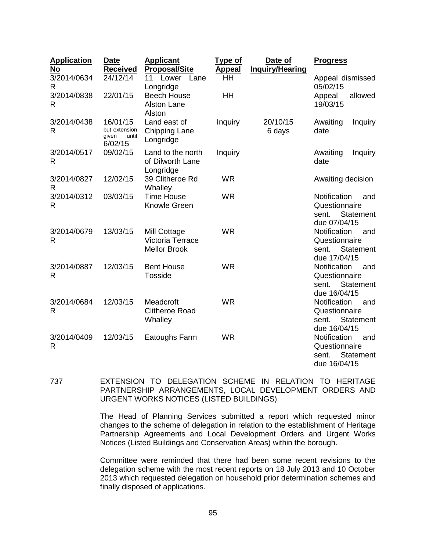| <b>Application</b><br>No    | <b>Date</b><br><b>Received</b>                         | <b>Applicant</b><br><b>Proposal/Site</b>                       | <u>Type of</u><br><b>Appeal</b> | Date of<br><b>Inquiry/Hearing</b> | <b>Progress</b>                                                                   |
|-----------------------------|--------------------------------------------------------|----------------------------------------------------------------|---------------------------------|-----------------------------------|-----------------------------------------------------------------------------------|
| 3/2014/0634<br>R            | 24/12/14                                               | 11<br>Lower<br>Lane<br>Longridge                               | HH                              |                                   | Appeal dismissed<br>05/02/15                                                      |
| 3/2014/0838<br>R            | 22/01/15                                               | <b>Beech House</b><br><b>Alston Lane</b><br>Alston             | HH                              |                                   | Appeal<br>allowed<br>19/03/15                                                     |
| 3/2014/0438<br>$\mathsf{R}$ | 16/01/15<br>but extension<br>given<br>until<br>6/02/15 | Land east of<br><b>Chipping Lane</b><br>Longridge              | Inquiry                         | 20/10/15<br>6 days                | Awaiting<br><b>Inquiry</b><br>date                                                |
| 3/2014/0517<br>R            | 09/02/15                                               | Land to the north<br>of Dilworth Lane<br>Longridge             | Inquiry                         |                                   | Awaiting<br><b>Inquiry</b><br>date                                                |
| 3/2014/0827<br>R            | 12/02/15                                               | 39 Clitheroe Rd<br>Whalley                                     | <b>WR</b>                       |                                   | Awaiting decision                                                                 |
| 3/2014/0312<br>R            | 03/03/15                                               | <b>Time House</b><br>Knowle Green                              | <b>WR</b>                       |                                   | Notification<br>and<br>Questionnaire<br>Statement<br>sent.<br>due 07/04/15        |
| 3/2014/0679<br>$\mathsf{R}$ | 13/03/15                                               | Mill Cottage<br><b>Victoria Terrace</b><br><b>Mellor Brook</b> | <b>WR</b>                       |                                   | Notification<br>and<br>Questionnaire<br>Statement<br>sent.<br>due 17/04/15        |
| 3/2014/0887<br>$\mathsf{R}$ | 12/03/15                                               | <b>Bent House</b><br>Tosside                                   | <b>WR</b>                       |                                   | Notification<br>and<br>Questionnaire<br>Statement<br>sent.<br>due 16/04/15        |
| 3/2014/0684<br>R            | 12/03/15                                               | Meadcroft<br><b>Clitheroe Road</b><br>Whalley                  | <b>WR</b>                       |                                   | Notification<br>and<br>Questionnaire<br><b>Statement</b><br>sent.<br>due 16/04/15 |
| 3/2014/0409<br>$\mathsf{R}$ | 12/03/15                                               | Eatoughs Farm                                                  | <b>WR</b>                       |                                   | Notification<br>and<br>Questionnaire<br><b>Statement</b><br>sent.<br>due 16/04/15 |

737 EXTENSION TO DELEGATION SCHEME IN RELATION TO HERITAGE PARTNERSHIP ARRANGEMENTS, LOCAL DEVELOPMENT ORDERS AND URGENT WORKS NOTICES (LISTED BUILDINGS)

> The Head of Planning Services submitted a report which requested minor changes to the scheme of delegation in relation to the establishment of Heritage Partnership Agreements and Local Development Orders and Urgent Works Notices (Listed Buildings and Conservation Areas) within the borough.

> Committee were reminded that there had been some recent revisions to the delegation scheme with the most recent reports on 18 July 2013 and 10 October 2013 which requested delegation on household prior determination schemes and finally disposed of applications.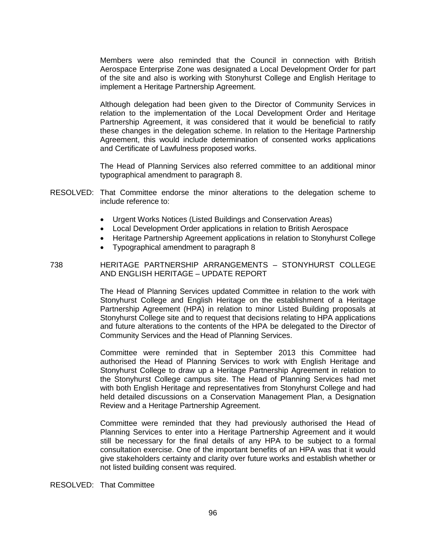Members were also reminded that the Council in connection with British Aerospace Enterprise Zone was designated a Local Development Order for part of the site and also is working with Stonyhurst College and English Heritage to implement a Heritage Partnership Agreement.

Although delegation had been given to the Director of Community Services in relation to the implementation of the Local Development Order and Heritage Partnership Agreement, it was considered that it would be beneficial to ratify these changes in the delegation scheme. In relation to the Heritage Partnership Agreement, this would include determination of consented works applications and Certificate of Lawfulness proposed works.

The Head of Planning Services also referred committee to an additional minor typographical amendment to paragraph 8.

- RESOLVED: That Committee endorse the minor alterations to the delegation scheme to include reference to:
	- Urgent Works Notices (Listed Buildings and Conservation Areas)
	- Local Development Order applications in relation to British Aerospace
	- Heritage Partnership Agreement applications in relation to Stonyhurst College
	- Typographical amendment to paragraph 8

738 HERITAGE PARTNERSHIP ARRANGEMENTS – STONYHURST COLLEGE AND ENGLISH HERITAGE – UPDATE REPORT

> The Head of Planning Services updated Committee in relation to the work with Stonyhurst College and English Heritage on the establishment of a Heritage Partnership Agreement (HPA) in relation to minor Listed Building proposals at Stonyhurst College site and to request that decisions relating to HPA applications and future alterations to the contents of the HPA be delegated to the Director of Community Services and the Head of Planning Services.

> Committee were reminded that in September 2013 this Committee had authorised the Head of Planning Services to work with English Heritage and Stonyhurst College to draw up a Heritage Partnership Agreement in relation to the Stonyhurst College campus site. The Head of Planning Services had met with both English Heritage and representatives from Stonyhurst College and had held detailed discussions on a Conservation Management Plan, a Designation Review and a Heritage Partnership Agreement.

> Committee were reminded that they had previously authorised the Head of Planning Services to enter into a Heritage Partnership Agreement and it would still be necessary for the final details of any HPA to be subject to a formal consultation exercise. One of the important benefits of an HPA was that it would give stakeholders certainty and clarity over future works and establish whether or not listed building consent was required.

RESOLVED: That Committee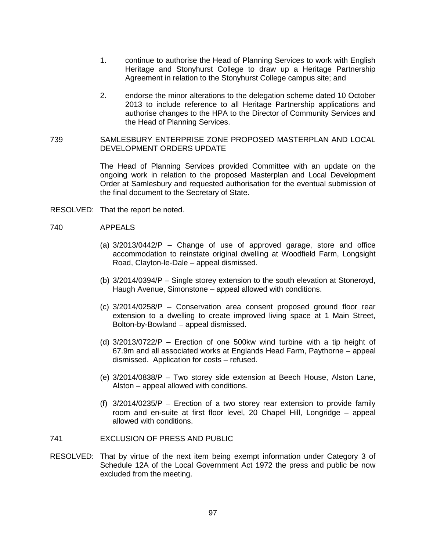- 1. continue to authorise the Head of Planning Services to work with English Heritage and Stonyhurst College to draw up a Heritage Partnership Agreement in relation to the Stonyhurst College campus site; and
- 2. endorse the minor alterations to the delegation scheme dated 10 October 2013 to include reference to all Heritage Partnership applications and authorise changes to the HPA to the Director of Community Services and the Head of Planning Services.
- 739 SAMLESBURY ENTERPRISE ZONE PROPOSED MASTERPLAN AND LOCAL DEVELOPMENT ORDERS UPDATE

The Head of Planning Services provided Committee with an update on the ongoing work in relation to the proposed Masterplan and Local Development Order at Samlesbury and requested authorisation for the eventual submission of the final document to the Secretary of State.

RESOLVED: That the report be noted.

#### 740 APPEALS

- (a) 3/2013/0442/P Change of use of approved garage, store and office accommodation to reinstate original dwelling at Woodfield Farm, Longsight Road, Clayton-le-Dale – appeal dismissed.
- (b) 3/2014/0394/P Single storey extension to the south elevation at Stoneroyd, Haugh Avenue, Simonstone – appeal allowed with conditions.
- (c) 3/2014/0258/P Conservation area consent proposed ground floor rear extension to a dwelling to create improved living space at 1 Main Street, Bolton-by-Bowland – appeal dismissed.
- (d) 3/2013/0722/P Erection of one 500kw wind turbine with a tip height of 67.9m and all associated works at Englands Head Farm, Paythorne – appeal dismissed. Application for costs – refused.
- (e) 3/2014/0838/P Two storey side extension at Beech House, Alston Lane, Alston – appeal allowed with conditions.
- (f) 3/2014/0235/P Erection of a two storey rear extension to provide family room and en-suite at first floor level, 20 Chapel Hill, Longridge – appeal allowed with conditions.
- 741 EXCLUSION OF PRESS AND PUBLIC
- RESOLVED: That by virtue of the next item being exempt information under Category 3 of Schedule 12A of the Local Government Act 1972 the press and public be now excluded from the meeting.